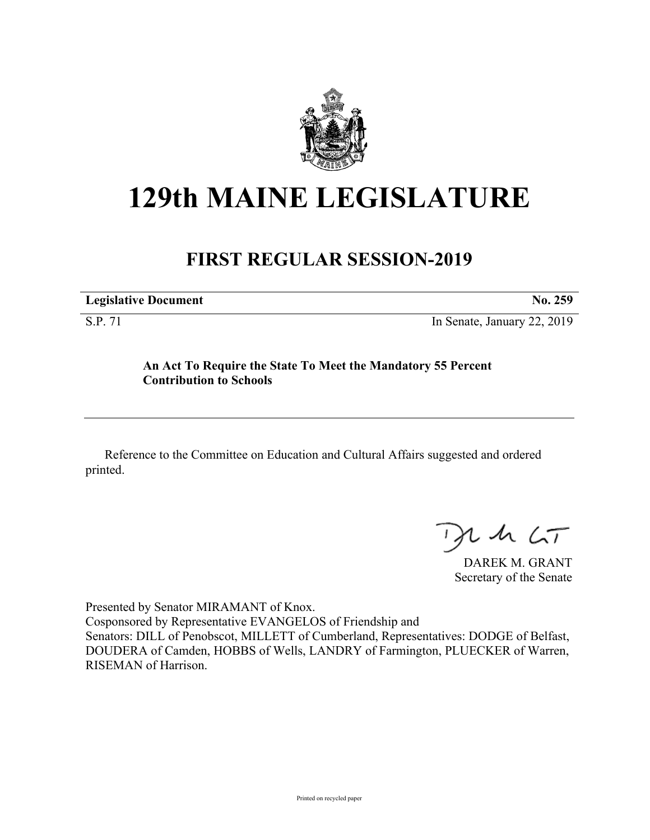

## **129th MAINE LEGISLATURE**

## **FIRST REGULAR SESSION-2019**

| <b>Legislative Document</b> | No. 259 |
|-----------------------------|---------|
|                             |         |

S.P. 71 In Senate, January 22, 2019

## **An Act To Require the State To Meet the Mandatory 55 Percent Contribution to Schools**

Reference to the Committee on Education and Cultural Affairs suggested and ordered printed.

 $125$ 

DAREK M. GRANT Secretary of the Senate

Presented by Senator MIRAMANT of Knox. Cosponsored by Representative EVANGELOS of Friendship and Senators: DILL of Penobscot, MILLETT of Cumberland, Representatives: DODGE of Belfast, DOUDERA of Camden, HOBBS of Wells, LANDRY of Farmington, PLUECKER of Warren, RISEMAN of Harrison.